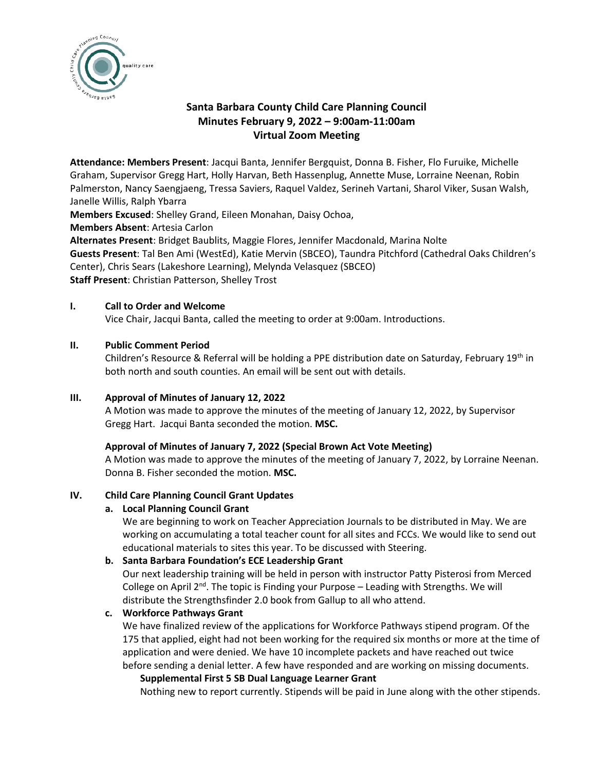

# **Santa Barbara County Child Care Planning Council Minutes February 9, 2022 – 9:00am-11:00am Virtual Zoom Meeting**

**Attendance: Members Present**: Jacqui Banta, Jennifer Bergquist, Donna B. Fisher, Flo Furuike, Michelle Graham, Supervisor Gregg Hart, Holly Harvan, Beth Hassenplug, Annette Muse, Lorraine Neenan, Robin Palmerston, Nancy Saengjaeng, Tressa Saviers, Raquel Valdez, Serineh Vartani, Sharol Viker, Susan Walsh, Janelle Willis, Ralph Ybarra

**Members Excused**: Shelley Grand, Eileen Monahan, Daisy Ochoa,

**Members Absent**: Artesia Carlon

**Alternates Present**: Bridget Baublits, Maggie Flores, Jennifer Macdonald, Marina Nolte **Guests Present**: Tal Ben Ami (WestEd), Katie Mervin (SBCEO), Taundra Pitchford (Cathedral Oaks Children's Center), Chris Sears (Lakeshore Learning), Melynda Velasquez (SBCEO) **Staff Present**: Christian Patterson, Shelley Trost

# **I. Call to Order and Welcome**

Vice Chair, Jacqui Banta, called the meeting to order at 9:00am. Introductions.

### **II. Public Comment Period**

Children's Resource & Referral will be holding a PPE distribution date on Saturday, February 19<sup>th</sup> in both north and south counties. An email will be sent out with details.

# **III. Approval of Minutes of January 12, 2022**

A Motion was made to approve the minutes of the meeting of January 12, 2022, by Supervisor Gregg Hart. Jacqui Banta seconded the motion. **MSC.**

### **Approval of Minutes of January 7, 2022 (Special Brown Act Vote Meeting)**

A Motion was made to approve the minutes of the meeting of January 7, 2022, by Lorraine Neenan. Donna B. Fisher seconded the motion. **MSC.**

### **IV. Child Care Planning Council Grant Updates**

### **a. Local Planning Council Grant**

We are beginning to work on Teacher Appreciation Journals to be distributed in May. We are working on accumulating a total teacher count for all sites and FCCs. We would like to send out educational materials to sites this year. To be discussed with Steering.

### **b. Santa Barbara Foundation's ECE Leadership Grant**

Our next leadership training will be held in person with instructor Patty Pisterosi from Merced College on April  $2^{nd}$ . The topic is Finding your Purpose – Leading with Strengths. We will distribute the Strengthsfinder 2.0 book from Gallup to all who attend.

# **c. Workforce Pathways Grant**

We have finalized review of the applications for Workforce Pathways stipend program. Of the 175 that applied, eight had not been working for the required six months or more at the time of application and were denied. We have 10 incomplete packets and have reached out twice before sending a denial letter. A few have responded and are working on missing documents.

### **Supplemental First 5 SB Dual Language Learner Grant**

Nothing new to report currently. Stipends will be paid in June along with the other stipends.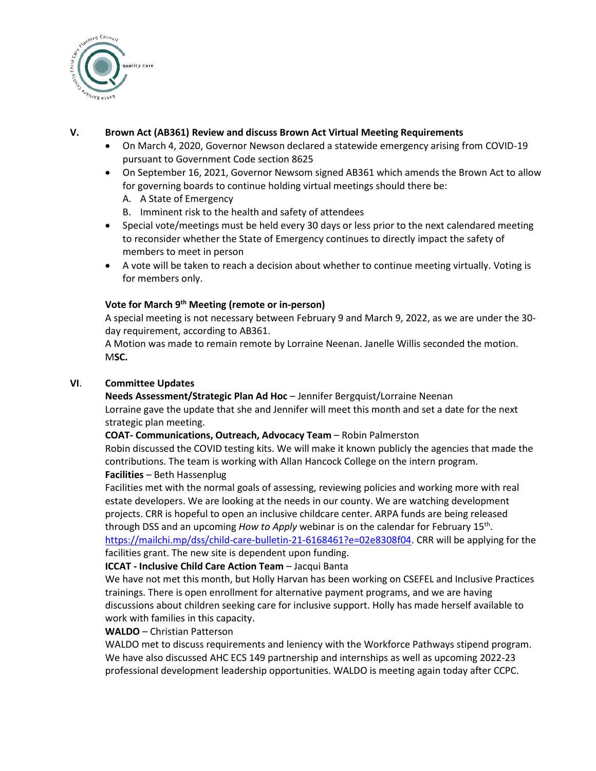

## **V. Brown Act (AB361) Review and discuss Brown Act Virtual Meeting Requirements**

- On March 4, 2020, Governor Newson declared a statewide emergency arising from COVID-19 pursuant to Government Code section 8625
- On September 16, 2021, Governor Newsom signed AB361 which amends the Brown Act to allow for governing boards to continue holding virtual meetings should there be:
	- A. A State of Emergency
	- B. Imminent risk to the health and safety of attendees
- Special vote/meetings must be held every 30 days or less prior to the next calendared meeting to reconsider whether the State of Emergency continues to directly impact the safety of members to meet in person
- A vote will be taken to reach a decision about whether to continue meeting virtually. Voting is for members only.

# **Vote for March 9 th Meeting (remote or in-person)**

A special meeting is not necessary between February 9 and March 9, 2022, as we are under the 30 day requirement, according to AB361.

A Motion was made to remain remote by Lorraine Neenan. Janelle Willis seconded the motion. M**SC.** 

### **VI**. **Committee Updates**

**Needs Assessment/Strategic Plan Ad Hoc** – Jennifer Bergquist/Lorraine Neenan Lorraine gave the update that she and Jennifer will meet this month and set a date for the next strategic plan meeting.

### **COAT- Communications, Outreach, Advocacy Team** – Robin Palmerston

Robin discussed the COVID testing kits. We will make it known publicly the agencies that made the contributions. The team is working with Allan Hancock College on the intern program. **Facilities** – Beth Hassenplug

Facilities met with the normal goals of assessing, reviewing policies and working more with real estate developers. We are looking at the needs in our county. We are watching development projects. CRR is hopeful to open an inclusive childcare center. ARPA funds are being released through DSS and an upcoming *How to Apply* webinar is on the calendar for February 15<sup>th</sup>. [https://mailchi.mp/dss/child-care-bulletin-21-6168461?e=02e8308f04.](https://mailchi.mp/dss/child-care-bulletin-21-6168461?e=02e8308f04) CRR will be applying for the facilities grant. The new site is dependent upon funding.

### **ICCAT - Inclusive Child Care Action Team** – Jacqui Banta

We have not met this month, but Holly Harvan has been working on CSEFEL and Inclusive Practices trainings. There is open enrollment for alternative payment programs, and we are having discussions about children seeking care for inclusive support. Holly has made herself available to work with families in this capacity.

### **WALDO** – Christian Patterson

WALDO met to discuss requirements and leniency with the Workforce Pathways stipend program. We have also discussed AHC ECS 149 partnership and internships as well as upcoming 2022-23 professional development leadership opportunities. WALDO is meeting again today after CCPC.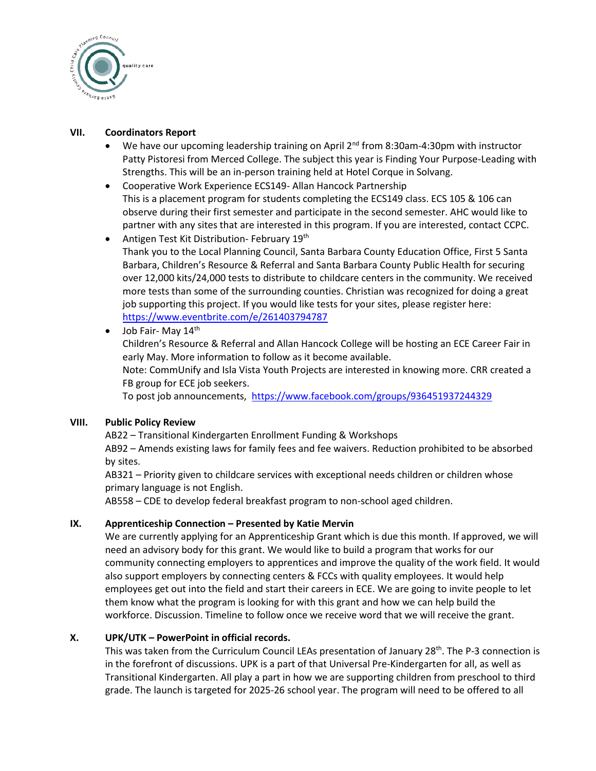

### **VII. Coordinators Report**

- We have our upcoming leadership training on April 2<sup>nd</sup> from 8:30am-4:30pm with instructor Patty Pistoresi from Merced College. The subject this year is Finding Your Purpose-Leading with Strengths. This will be an in-person training held at Hotel Corque in Solvang.
- Cooperative Work Experience ECS149- Allan Hancock Partnership This is a placement program for students completing the ECS149 class. ECS 105 & 106 can observe during their first semester and participate in the second semester. AHC would like to partner with any sites that are interested in this program. If you are interested, contact CCPC.
- Antigen Test Kit Distribution- February 19<sup>th</sup> Thank you to the Local Planning Council, Santa Barbara County Education Office, First 5 Santa Barbara, Children's Resource & Referral and Santa Barbara County Public Health for securing over 12,000 kits/24,000 tests to distribute to childcare centers in the community. We received more tests than some of the surrounding counties. Christian was recognized for doing a great job supporting this project. If you would like tests for your sites, please register here: <https://www.eventbrite.com/e/261403794787>
- Job Fair- May  $14<sup>th</sup>$

Children's Resource & Referral and Allan Hancock College will be hosting an ECE Career Fair in early May. More information to follow as it become available. Note: CommUnify and Isla Vista Youth Projects are interested in knowing more. CRR created a FB group for ECE job seekers.

To post job announcements,<https://www.facebook.com/groups/936451937244329>

# **VIII. Public Policy Review**

AB22 – Transitional Kindergarten Enrollment Funding & Workshops

AB92 – Amends existing laws for family fees and fee waivers. Reduction prohibited to be absorbed by sites.

AB321 – Priority given to childcare services with exceptional needs children or children whose primary language is not English.

AB558 – CDE to develop federal breakfast program to non-school aged children.

# **IX. Apprenticeship Connection – Presented by Katie Mervin**

We are currently applying for an Apprenticeship Grant which is due this month. If approved, we will need an advisory body for this grant. We would like to build a program that works for our community connecting employers to apprentices and improve the quality of the work field. It would also support employers by connecting centers & FCCs with quality employees. It would help employees get out into the field and start their careers in ECE. We are going to invite people to let them know what the program is looking for with this grant and how we can help build the workforce. Discussion. Timeline to follow once we receive word that we will receive the grant.

# **X. UPK/UTK – PowerPoint in official records.**

This was taken from the Curriculum Council LEAs presentation of January 28<sup>th</sup>. The P-3 connection is in the forefront of discussions. UPK is a part of that Universal Pre-Kindergarten for all, as well as Transitional Kindergarten. All play a part in how we are supporting children from preschool to third grade. The launch is targeted for 2025-26 school year. The program will need to be offered to all